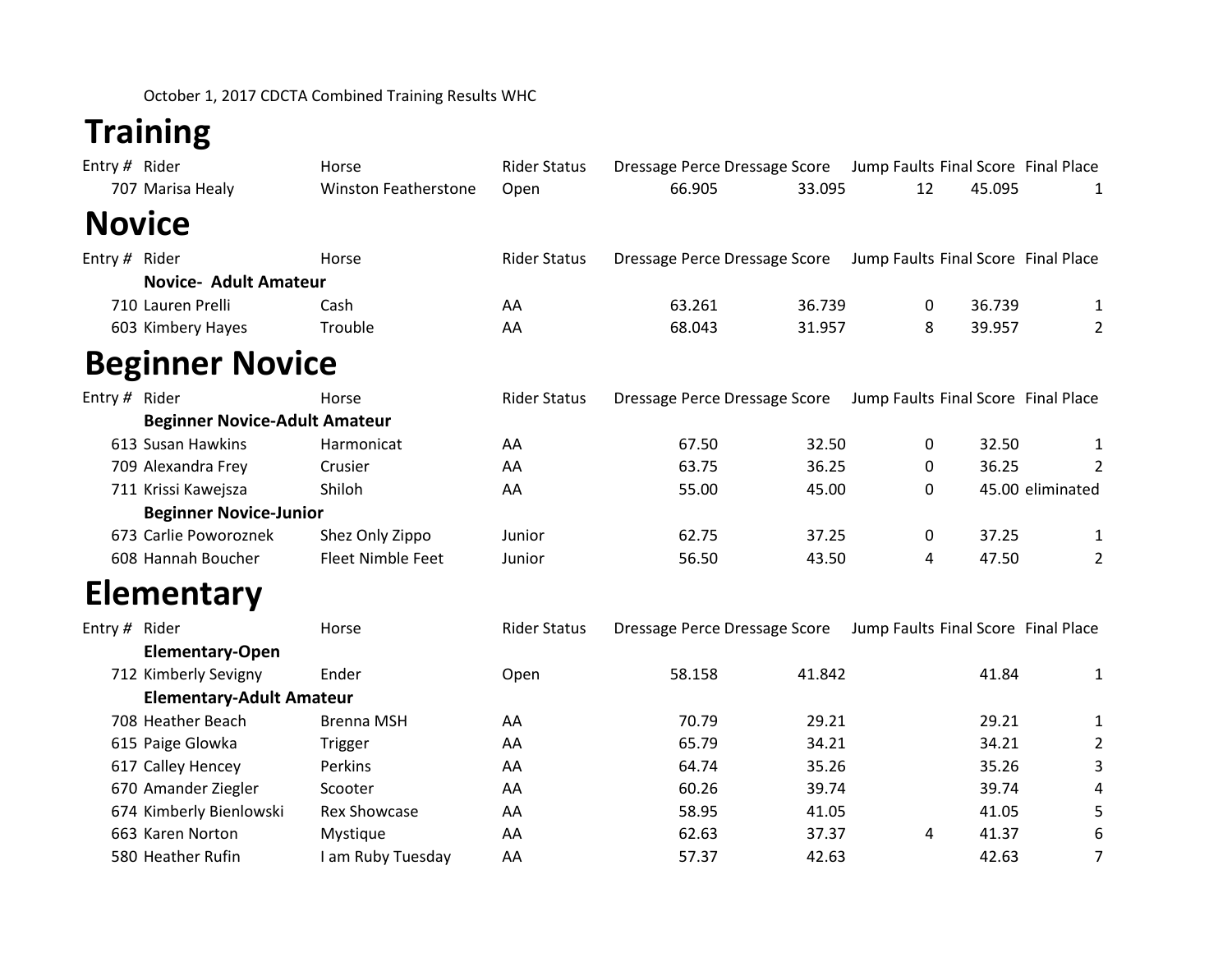October 1, 2017 CDCTA Combined Training Results WHC

## **Training**

| Entry # Rider |                                      | Horse                       | <b>Rider Status</b> | Dressage Perce Dressage Score Jump Faults Final Score Final Place |        |                                     |        |                  |
|---------------|--------------------------------------|-----------------------------|---------------------|-------------------------------------------------------------------|--------|-------------------------------------|--------|------------------|
|               | 707 Marisa Healy                     | <b>Winston Featherstone</b> | Open                | 66.905                                                            | 33.095 | 12                                  | 45.095 | 1                |
| <b>Novice</b> |                                      |                             |                     |                                                                   |        |                                     |        |                  |
| Entry # Rider |                                      | Horse                       | <b>Rider Status</b> | Dressage Perce Dressage Score                                     |        | Jump Faults Final Score Final Place |        |                  |
|               | <b>Novice- Adult Amateur</b>         |                             |                     |                                                                   |        |                                     |        |                  |
|               | 710 Lauren Prelli                    | Cash                        | AA                  | 63.261                                                            | 36.739 | 0                                   | 36.739 | $\mathbf{1}$     |
|               | 603 Kimbery Hayes                    | Trouble                     | AA                  | 68.043                                                            | 31.957 | 8                                   | 39.957 | $\overline{2}$   |
|               | <b>Beginner Novice</b>               |                             |                     |                                                                   |        |                                     |        |                  |
| Entry # Rider |                                      | Horse                       | <b>Rider Status</b> | Dressage Perce Dressage Score                                     |        | Jump Faults Final Score Final Place |        |                  |
|               | <b>Beginner Novice-Adult Amateur</b> |                             |                     |                                                                   |        |                                     |        |                  |
|               | 613 Susan Hawkins                    | Harmonicat                  | AA                  | 67.50                                                             | 32.50  | 0                                   | 32.50  | 1                |
|               | 709 Alexandra Frey                   | Crusier                     | AA                  | 63.75                                                             | 36.25  | 0                                   | 36.25  | $\overline{2}$   |
|               | 711 Krissi Kawejsza                  | Shiloh                      | AA                  | 55.00                                                             | 45.00  | 0                                   |        | 45.00 eliminated |
|               | <b>Beginner Novice-Junior</b>        |                             |                     |                                                                   |        |                                     |        |                  |
|               | 673 Carlie Poworoznek                | Shez Only Zippo             | Junior              | 62.75                                                             | 37.25  | 0                                   | 37.25  | $\mathbf{1}$     |
|               | 608 Hannah Boucher                   | <b>Fleet Nimble Feet</b>    | Junior              | 56.50                                                             | 43.50  | 4                                   | 47.50  | $\overline{2}$   |
|               | <b>Elementary</b>                    |                             |                     |                                                                   |        |                                     |        |                  |
| Entry # Rider |                                      | Horse                       | <b>Rider Status</b> | Dressage Perce Dressage Score                                     |        | Jump Faults Final Score Final Place |        |                  |
|               | <b>Elementary-Open</b>               |                             |                     |                                                                   |        |                                     |        |                  |
|               | 712 Kimberly Sevigny                 | Ender                       | Open                | 58.158                                                            | 41.842 |                                     | 41.84  | $\mathbf{1}$     |
|               | <b>Elementary-Adult Amateur</b>      |                             |                     |                                                                   |        |                                     |        |                  |
|               | 708 Heather Beach                    | <b>Brenna MSH</b>           | AA                  | 70.79                                                             | 29.21  |                                     | 29.21  | 1                |
|               | 615 Paige Glowka                     | Trigger                     | AA                  | 65.79                                                             | 34.21  |                                     | 34.21  | $\overline{c}$   |
|               | 617 Calley Hencey                    | Perkins                     | AA                  | 64.74                                                             | 35.26  |                                     | 35.26  | 3                |
|               | 670 Amander Ziegler                  | Scooter                     | AA                  | 60.26                                                             | 39.74  |                                     | 39.74  | 4                |
|               | 674 Kimberly Bienlowski              | <b>Rex Showcase</b>         | AA                  | 58.95                                                             | 41.05  |                                     | 41.05  | 5                |
|               | 663 Karen Norton                     | Mystique                    | AA                  | 62.63                                                             | 37.37  | 4                                   | 41.37  | 6                |
|               | 580 Heather Rufin                    | I am Ruby Tuesday           | AA                  | 57.37                                                             | 42.63  |                                     | 42.63  | 7                |